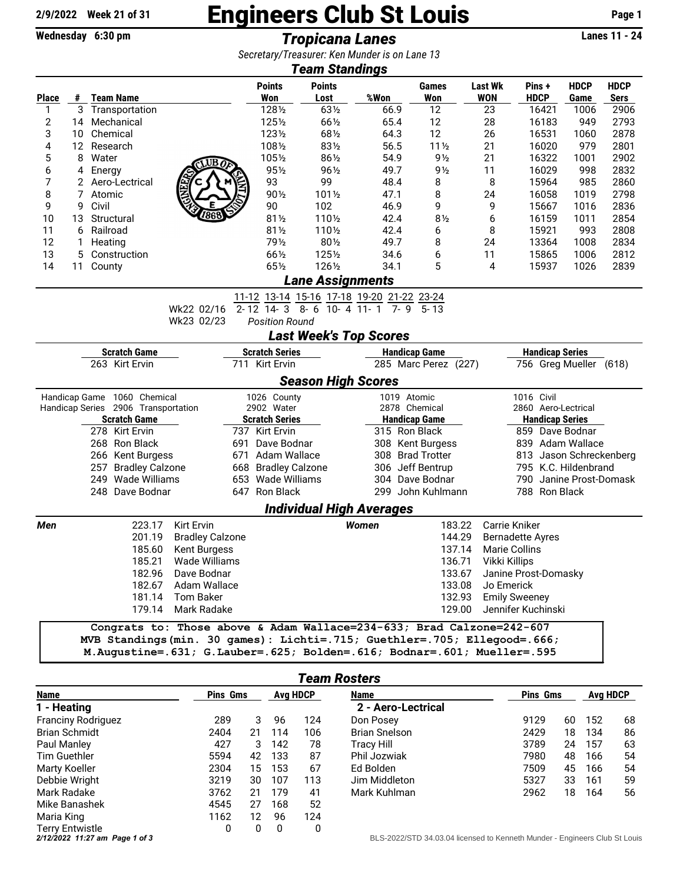## $\frac{2/9/2022}{\text{Week 21 of 31}}$  Engineers Club St Louis Page 1<br>  $\frac{2/9/2022}{\text{Wednesday } 6:30 \text{ pm}}$  Fronicana Lanes

Wednesday 6:30 pm **Tropicana Lanes** 

*Secretary/Treasurer: Ken Munder is on Lane 13*

| <b>Team Standings</b>                                         |                     |                        |                   |                                                                          |                       |                       |                          |               |                      |                                |                                                 |                              |                      |                         |                     |                            |  |  |
|---------------------------------------------------------------|---------------------|------------------------|-------------------|--------------------------------------------------------------------------|-----------------------|-----------------------|--------------------------|---------------|----------------------|--------------------------------|-------------------------------------------------|------------------------------|----------------------|-------------------------|---------------------|----------------------------|--|--|
| <b>Place</b>                                                  | #                   |                        | <b>Team Name</b>  |                                                                          |                       | <b>Points</b><br>Won  | <b>Points</b><br>Lost    |               | %Won                 |                                | <b>Games</b><br>Won                             | <b>Last Wk</b><br><b>WON</b> |                      | Pins +<br><b>HDCP</b>   | <b>HDCP</b><br>Game | <b>HDCP</b><br><b>Sers</b> |  |  |
| 1                                                             | 3                   |                        | Transportation    |                                                                          |                       | 1281/2                | 631/2                    |               | 66.9                 |                                | 12                                              | 23                           |                      | 16421                   | 1006                | 2906                       |  |  |
| 2                                                             | 14                  |                        | Mechanical        |                                                                          |                       | 1251/2                | 661/2                    |               | 65.4                 |                                | 12                                              | 28                           |                      | 16183                   | 949                 | 2793                       |  |  |
| 3                                                             | 10                  |                        | Chemical          |                                                                          |                       | 1231/2                | 681/2                    |               | 64.3                 |                                | 12                                              | 26                           |                      | 16531                   | 1060                | 2878                       |  |  |
| 4                                                             | 12                  |                        | Research          |                                                                          |                       | 1081/2                | 831/2                    |               | 56.5                 |                                | $11\frac{1}{2}$                                 | 21                           |                      | 16020                   | 979                 | 2801                       |  |  |
| 5                                                             | 8                   | Water                  |                   | UB                                                                       |                       | 1051/2                | 86½                      |               | 54.9                 |                                | $9\frac{1}{2}$                                  | 21                           |                      | 16322                   | 1001                | 2902                       |  |  |
| 6                                                             | 4                   | Energy                 |                   |                                                                          |                       | $95\%$                | $96\frac{1}{2}$          |               | 49.7                 |                                | $9\frac{1}{2}$                                  | 11                           |                      | 16029                   | 998                 | 2832                       |  |  |
| 7                                                             | 2                   |                        | Aero-Lectrical    |                                                                          |                       | 93                    | 99                       |               | 48.4                 |                                | 8                                               | 8                            |                      | 15964                   | 985                 | 2860                       |  |  |
| 8                                                             | 7                   | Atomic                 |                   |                                                                          |                       | $90\frac{1}{2}$       | 1011/2                   |               | 47.1                 |                                | 8                                               | 24                           |                      | 16058                   | 1019                | 2798                       |  |  |
| 9                                                             | 9                   | Civil                  |                   |                                                                          |                       | 90                    | 102                      |               | 46.9                 |                                | 9                                               |                              | 9                    | 15667                   | 1016                | 2836                       |  |  |
| 10                                                            | 13                  |                        | Structural        | 7868                                                                     |                       | $81\frac{1}{2}$       | 1101/2                   |               | 42.4                 |                                | $8\frac{1}{2}$                                  | 6                            |                      | 16159                   | 1011                | 2854                       |  |  |
| 11                                                            | 6                   | Railroad               |                   |                                                                          |                       | $81\frac{1}{2}$       | 1101/2                   |               | 42.4                 |                                | 6                                               | 8                            |                      | 15921                   | 993                 | 2808                       |  |  |
| 12                                                            | 1                   | Heating                |                   |                                                                          |                       | 791/2                 | 801/2                    |               | 49.7                 |                                | 8                                               | 24                           |                      | 13364                   | 1008                | 2834                       |  |  |
| 13                                                            | 5                   |                        | Construction      |                                                                          |                       | 661/2                 | 1251/2                   |               | 34.6                 |                                | 6                                               | 11                           |                      | 15865                   | 1006                | 2812                       |  |  |
| 14                                                            | 11                  | County                 |                   |                                                                          |                       | 65½                   | 1261/2                   |               | 34.1                 |                                | 5                                               |                              | 4                    | 15937                   | 1026                | 2839                       |  |  |
|                                                               |                     |                        |                   |                                                                          |                       |                       | <b>Lane Assignments</b>  |               |                      |                                |                                                 |                              |                      |                         |                     |                            |  |  |
| 11-12 13-14 15-16 17-18 19-20 21-22 23-24                     |                     |                        |                   |                                                                          |                       |                       |                          |               |                      |                                |                                                 |                              |                      |                         |                     |                            |  |  |
|                                                               |                     |                        |                   | Wk22 02/16                                                               |                       | $2 - 12$ 14-3         |                          |               |                      |                                |                                                 |                              |                      |                         |                     |                            |  |  |
| 8-6 10-4 11-1 7-9 5-13<br>Wk23 02/23<br><b>Position Round</b> |                     |                        |                   |                                                                          |                       |                       |                          |               |                      |                                |                                                 |                              |                      |                         |                     |                            |  |  |
| <b>Last Week's Top Scores</b>                                 |                     |                        |                   |                                                                          |                       |                       |                          |               |                      |                                |                                                 |                              |                      |                         |                     |                            |  |  |
| <b>Scratch Game</b>                                           |                     |                        |                   |                                                                          |                       | <b>Scratch Series</b> |                          |               |                      |                                | <b>Handicap Game</b>                            |                              |                      | <b>Handicap Series</b>  |                     |                            |  |  |
| 263 Kirt Ervin                                                |                     |                        |                   |                                                                          |                       | 711 Kirt Ervin        |                          |               | 285 Marc Perez (227) |                                |                                                 |                              |                      | 756 Greg Mueller (618)  |                     |                            |  |  |
| <b>Season High Scores</b>                                     |                     |                        |                   |                                                                          |                       |                       |                          |               |                      |                                |                                                 |                              |                      |                         |                     |                            |  |  |
| Handicap Game 1060 Chemical                                   |                     |                        |                   |                                                                          | 1026 County           |                       |                          | 1019 Atomic   |                      |                                |                                                 | 1016 Civil                   |                      |                         |                     |                            |  |  |
| Handicap Series 2906 Transportation                           |                     |                        |                   |                                                                          |                       | 2902 Water            |                          | 2878 Chemical |                      |                                |                                                 |                              | 2860 Aero-Lectrical  |                         |                     |                            |  |  |
| <b>Scratch Game</b>                                           |                     |                        |                   |                                                                          | <b>Scratch Series</b> |                       | <b>Handicap Game</b>     |               |                      |                                | <b>Handicap Series</b>                          |                              |                      |                         |                     |                            |  |  |
| 278 Kirt Ervin                                                |                     |                        |                   | 737 Kirt Ervin                                                           |                       | 315 Ron Black         |                          |               |                      | 859 Dave Bodnar                |                                                 |                              |                      |                         |                     |                            |  |  |
|                                                               | 268 Ron Black       |                        |                   | 691                                                                      | Dave Bodnar           |                       | 308 Kent Burgess         |               |                      |                                | 839 Adam Wallace                                |                              |                      |                         |                     |                            |  |  |
|                                                               | 266 Kent Burgess    |                        |                   |                                                                          | 671 Adam Wallace      |                       |                          |               |                      | 308 Brad Trotter               |                                                 | 813 Jason Schreckenberg      |                      |                         |                     |                            |  |  |
|                                                               | 257 Bradley Calzone |                        |                   | 668 Bradley Calzone                                                      |                       |                       |                          |               | 306 Jeff Bentrup     |                                | 795 K.C. Hildenbrand<br>790 Janine Prost-Domask |                              |                      |                         |                     |                            |  |  |
|                                                               |                     |                        | 249 Wade Williams |                                                                          |                       | 653 Wade Williams     |                          |               |                      |                                | 304 Dave Bodnar                                 |                              |                      |                         |                     |                            |  |  |
|                                                               |                     |                        | 248 Dave Bodnar   |                                                                          |                       | 647 Ron Black         |                          |               |                      |                                | 299 John Kuhlmann                               |                              |                      | 788 Ron Black           |                     |                            |  |  |
|                                                               |                     |                        |                   |                                                                          |                       |                       | Individual High Averages |               |                      |                                |                                                 |                              |                      |                         |                     |                            |  |  |
| Men                                                           |                     |                        | 223.17            | Kirt Ervin                                                               |                       |                       |                          | <b>Women</b>  |                      |                                | 183.22                                          |                              | Carrie Kniker        |                         |                     |                            |  |  |
|                                                               |                     |                        | 201.19            | <b>Bradley Calzone</b>                                                   |                       |                       |                          |               |                      |                                | 144.29                                          |                              |                      | <b>Bernadette Ayres</b> |                     |                            |  |  |
|                                                               |                     |                        | 185.60            | <b>Kent Burgess</b>                                                      |                       |                       |                          |               |                      |                                | 137.14                                          |                              | <b>Marie Collins</b> |                         |                     |                            |  |  |
|                                                               |                     |                        |                   | 185.21 Wade Williams                                                     |                       |                       |                          |               |                      |                                |                                                 | 136.71 Vikki Killips         |                      |                         |                     |                            |  |  |
|                                                               |                     | 182.96 Dave Bodnar     |                   |                                                                          |                       |                       |                          |               | 133.67               |                                |                                                 | Janine Prost-Domasky         |                      |                         |                     |                            |  |  |
|                                                               |                     | 182.67<br>Adam Wallace |                   |                                                                          |                       |                       |                          |               | 133.08               |                                |                                                 |                              | Jo Emerick           |                         |                     |                            |  |  |
|                                                               |                     |                        | 181.14            | Tom Baker                                                                |                       |                       |                          |               |                      | 132.93<br><b>Emily Sweeney</b> |                                                 |                              |                      |                         |                     |                            |  |  |
|                                                               |                     |                        | 179.14            | Mark Radake                                                              |                       |                       |                          |               | 129.00               |                                |                                                 |                              |                      | Jennifer Kuchinski      |                     |                            |  |  |
|                                                               |                     |                        |                   | Congrats to: Those above & Adam Wallace=234-633; Brad Calzone=242-607    |                       |                       |                          |               |                      |                                |                                                 |                              |                      |                         |                     |                            |  |  |
|                                                               |                     |                        |                   | MVB Standings(min. 30 games): Lichti=.715; Guethler=.705; Ellegood=.666; |                       |                       |                          |               |                      |                                |                                                 |                              |                      |                         |                     |                            |  |  |
|                                                               |                     |                        |                   | M.Augustine=.631; G.Lauber=.625; Bolden=.616; Bodnar=.601; Mueller=.595  |                       |                       |                          |               |                      |                                |                                                 |                              |                      |                         |                     |                            |  |  |

| <b>Team Rosters</b>            |                 |                 |     |             |                                                                            |                 |    |     |    |  |  |
|--------------------------------|-----------------|-----------------|-----|-------------|----------------------------------------------------------------------------|-----------------|----|-----|----|--|--|
| <b>Name</b>                    | <b>Pins Gms</b> | <b>Avg HDCP</b> |     | <b>Name</b> | <b>Pins Gms</b>                                                            | <b>Avg HDCP</b> |    |     |    |  |  |
| 1 - Heating                    |                 |                 |     |             | 2 - Aero-Lectrical                                                         |                 |    |     |    |  |  |
| <b>Franciny Rodriguez</b>      | 289             | 3               | 96  | 124         | Don Posey                                                                  | 9129            | 60 | 152 | 68 |  |  |
| <b>Brian Schmidt</b>           | 2404            | 21              | 114 | 106         | <b>Brian Snelson</b>                                                       | 2429            | 18 | 134 | 86 |  |  |
| Paul Manley                    | 427             | 3               | 142 | 78          | <b>Tracy Hill</b>                                                          | 3789            | 24 | 157 | 63 |  |  |
| Tim Guethler                   | 5594            | 42              | 133 | 87          | Phil Jozwiak                                                               | 7980            | 48 | 166 | 54 |  |  |
| Marty Koeller                  | 2304            | 15              | 153 | 67          | Ed Bolden                                                                  | 7509            | 45 | 166 | 54 |  |  |
| Debbie Wright                  | 3219            | 30              | 107 | 113         | Jim Middleton                                                              | 5327            | 33 | 161 | 59 |  |  |
| Mark Radake                    | 3762            | 21              | 179 | 41          | Mark Kuhlman                                                               | 2962            | 18 | 164 | 56 |  |  |
| Mike Banashek                  | 4545            | 27              | 168 | 52          |                                                                            |                 |    |     |    |  |  |
| Maria King                     | 1162            | 12              | 96  | 124         |                                                                            |                 |    |     |    |  |  |
| Terry Entwistle                | 0               | 0               | 0   | 0           |                                                                            |                 |    |     |    |  |  |
| 2/12/2022 11:27 am Page 1 of 3 |                 |                 |     |             | BLS-2022/STD 34.03.04 licensed to Kenneth Munder - Engineers Club St Louis |                 |    |     |    |  |  |